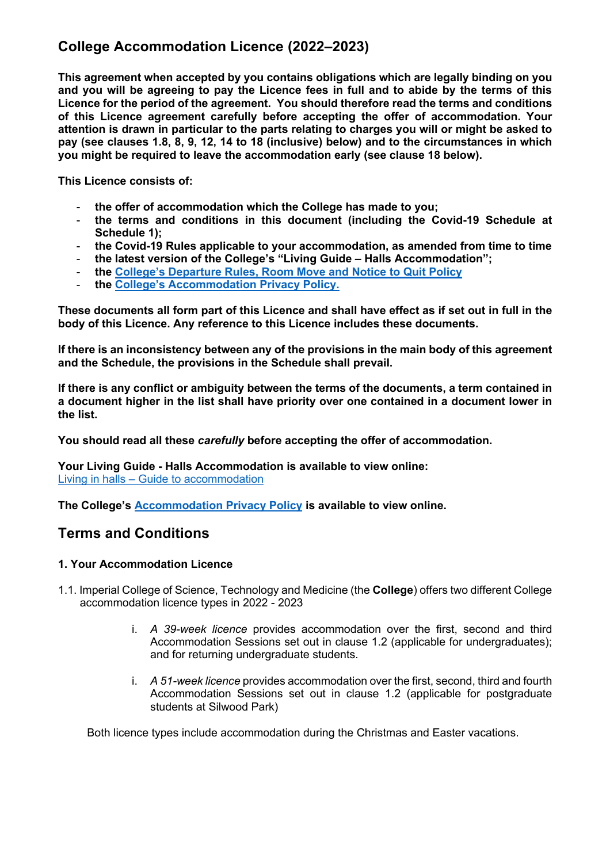# **College Accommodation Licence (2022–2023)**

**This agreement when accepted by you contains obligations which are legally binding on you and you will be agreeing to pay the Licence fees in full and to abide by the terms of this Licence for the period of the agreement. You should therefore read the terms and conditions of this Licence agreement carefully before accepting the offer of accommodation. Your attention is drawn in particular to the parts relating to charges you will or might be asked to pay (see clauses 1.8, 8, 9, 12, 14 to 18 (inclusive) below) and to the circumstances in which you might be required to leave the accommodation early (see clause 18 below).**

**This Licence consists of:**

- **the offer of accommodation which the College has made to you;**
- **the terms and conditions in this document (including the Covid-19 Schedule at Schedule 1);**
- **the Covid-19 Rules applicable to your accommodation, as amended from time to time**
- **the latest version of the College's "Living Guide – Halls Accommodation";**
- **the College's Departure Rules, Room Move and Notice to Quit Policy**
- **the College's Accommodation Privacy Policy.**

**These documents all form part of this Licence and shall have effect as if set out in full in the body of this Licence. Any reference to this Licence includes these documents.** 

**If there is an inconsistency between any of the provisions in the main body of this agreement and the Schedule, the provisions in the Schedule shall prevail.**

**If there is any conflict or ambiguity between the terms of the documents, a term contained in a document higher in the list shall have priority over one contained in a document lower in the list.**

**You should read all these** *carefully* **before accepting the offer of accommodation.**

**Your Living Guide - Halls Accommodation is available to view online:**  Living in halls – Guide to accommodation

**The College's Accommodation Privacy Policy is available to view online.**

## **Terms and Conditions**

#### **1. Your Accommodation Licence**

- 1.1. Imperial College of Science, Technology and Medicine (the **College**) offers two different College accommodation licence types in 2022 - 2023
	- i. *A 39-week licence* provides accommodation over the first, second and third Accommodation Sessions set out in clause 1.2 (applicable for undergraduates); and for returning undergraduate students.
	- i. *A 51-week licence* provides accommodation over the first, second, third and fourth Accommodation Sessions set out in clause 1.2 (applicable for postgraduate students at Silwood Park)

Both licence types include accommodation during the Christmas and Easter vacations.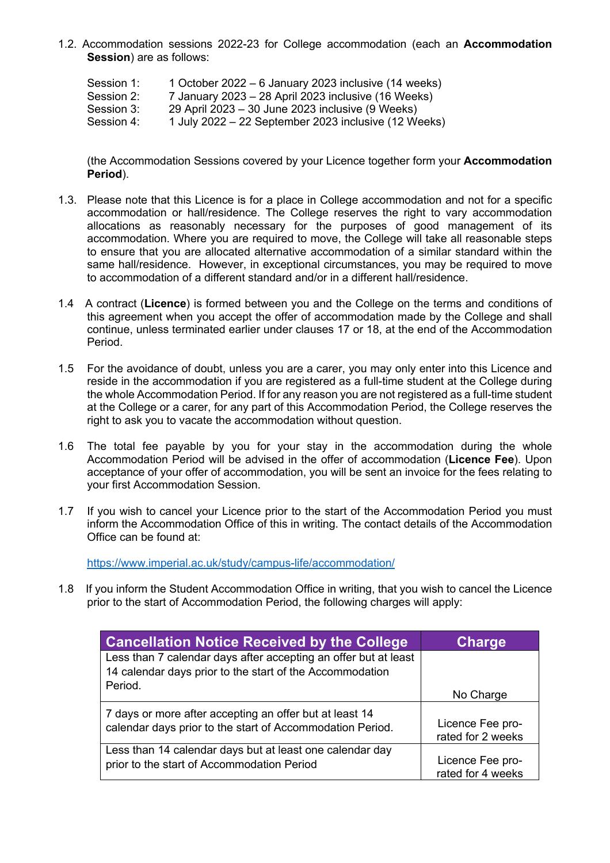- 1.2. Accommodation sessions 2022-23 for College accommodation (each an **Accommodation Session**) are as follows:
	- Session 1: 1 October 2022 6 January 2023 inclusive (14 weeks)
	- Session 2: 7 January 2023 28 April 2023 inclusive (16 Weeks)
	- Session 3: 29 April 2023 30 June 2023 inclusive (9 Weeks)
	- Session 4: 1 July 2022 22 September 2023 inclusive (12 Weeks)

(the Accommodation Sessions covered by your Licence together form your **Accommodation Period**).

- 1.3. Please note that this Licence is for a place in College accommodation and not for a specific accommodation or hall/residence. The College reserves the right to vary accommodation allocations as reasonably necessary for the purposes of good management of its accommodation. Where you are required to move, the College will take all reasonable steps to ensure that you are allocated alternative accommodation of a similar standard within the same hall/residence. However, in exceptional circumstances, you may be required to move to accommodation of a different standard and/or in a different hall/residence.
- 1.4 A contract (**Licence**) is formed between you and the College on the terms and conditions of this agreement when you accept the offer of accommodation made by the College and shall continue, unless terminated earlier under clauses 17 or 18, at the end of the Accommodation Period.
- 1.5 For the avoidance of doubt, unless you are a carer, you may only enter into this Licence and reside in the accommodation if you are registered as a full-time student at the College during the whole Accommodation Period. If for any reason you are not registered as a full-time student at the College or a carer, for any part of this Accommodation Period, the College reserves the right to ask you to vacate the accommodation without question.
- 1.6 The total fee payable by you for your stay in the accommodation during the whole Accommodation Period will be advised in the offer of accommodation (**Licence Fee**). Upon acceptance of your offer of accommodation, you will be sent an invoice for the fees relating to your first Accommodation Session.
- 1.7 If you wish to cancel your Licence prior to the start of the Accommodation Period you must inform the Accommodation Office of this in writing. The contact details of the Accommodation Office can be found at:

https://www.imperial.ac.uk/study/campus-life/accommodation/

1.8 If you inform the Student Accommodation Office in writing, that you wish to cancel the Licence prior to the start of Accommodation Period, the following charges will apply:

| <b>Cancellation Notice Received by the College</b>                                                                          | <b>Charge</b>                         |
|-----------------------------------------------------------------------------------------------------------------------------|---------------------------------------|
| Less than 7 calendar days after accepting an offer but at least<br>14 calendar days prior to the start of the Accommodation |                                       |
| Period.                                                                                                                     | No Charge                             |
| 7 days or more after accepting an offer but at least 14<br>calendar days prior to the start of Accommodation Period.        | Licence Fee pro-<br>rated for 2 weeks |
| Less than 14 calendar days but at least one calendar day<br>prior to the start of Accommodation Period                      | Licence Fee pro-<br>rated for 4 weeks |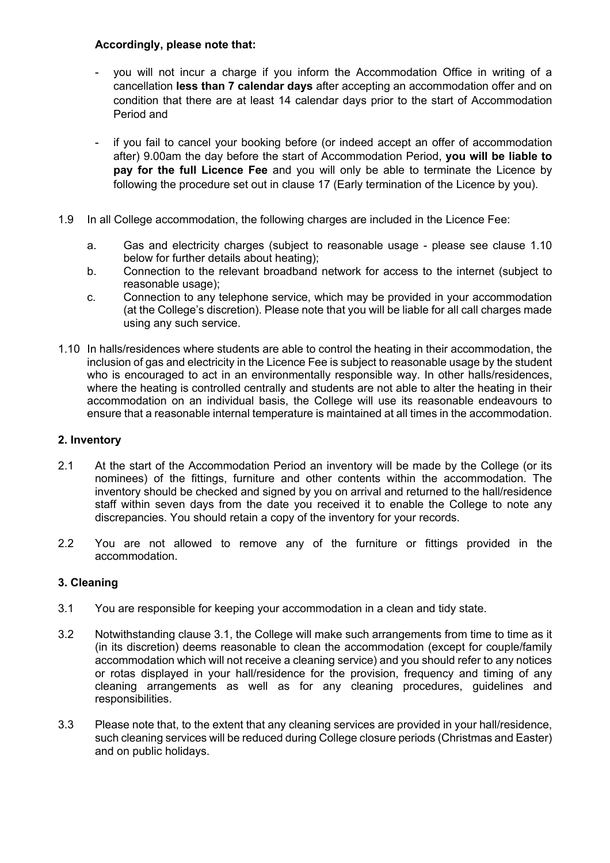### **Accordingly, please note that:**

- you will not incur a charge if you inform the Accommodation Office in writing of a cancellation **less than 7 calendar days** after accepting an accommodation offer and on condition that there are at least 14 calendar days prior to the start of Accommodation Period and
- if you fail to cancel your booking before (or indeed accept an offer of accommodation after) 9.00am the day before the start of Accommodation Period, **you will be liable to pay for the full Licence Fee** and you will only be able to terminate the Licence by following the procedure set out in clause 17 (Early termination of the Licence by you).
- 1.9 In all College accommodation, the following charges are included in the Licence Fee:
	- a. Gas and electricity charges (subject to reasonable usage please see clause 1.10 below for further details about heating);
	- b. Connection to the relevant broadband network for access to the internet (subject to reasonable usage);
	- c. Connection to any telephone service, which may be provided in your accommodation (at the College's discretion). Please note that you will be liable for all call charges made using any such service.
- 1.10 In halls/residences where students are able to control the heating in their accommodation, the inclusion of gas and electricity in the Licence Fee is subject to reasonable usage by the student who is encouraged to act in an environmentally responsible way. In other halls/residences, where the heating is controlled centrally and students are not able to alter the heating in their accommodation on an individual basis, the College will use its reasonable endeavours to ensure that a reasonable internal temperature is maintained at all times in the accommodation.

## **2. Inventory**

- 2.1 At the start of the Accommodation Period an inventory will be made by the College (or its nominees) of the fittings, furniture and other contents within the accommodation. The inventory should be checked and signed by you on arrival and returned to the hall/residence staff within seven days from the date you received it to enable the College to note any discrepancies. You should retain a copy of the inventory for your records.
- 2.2 You are not allowed to remove any of the furniture or fittings provided in the accommodation.

## **3. Cleaning**

- 3.1 You are responsible for keeping your accommodation in a clean and tidy state.
- 3.2 Notwithstanding clause 3.1, the College will make such arrangements from time to time as it (in its discretion) deems reasonable to clean the accommodation (except for couple/family accommodation which will not receive a cleaning service) and you should refer to any notices or rotas displayed in your hall/residence for the provision, frequency and timing of any cleaning arrangements as well as for any cleaning procedures, guidelines and responsibilities.
- 3.3 Please note that, to the extent that any cleaning services are provided in your hall/residence, such cleaning services will be reduced during College closure periods (Christmas and Easter) and on public holidays.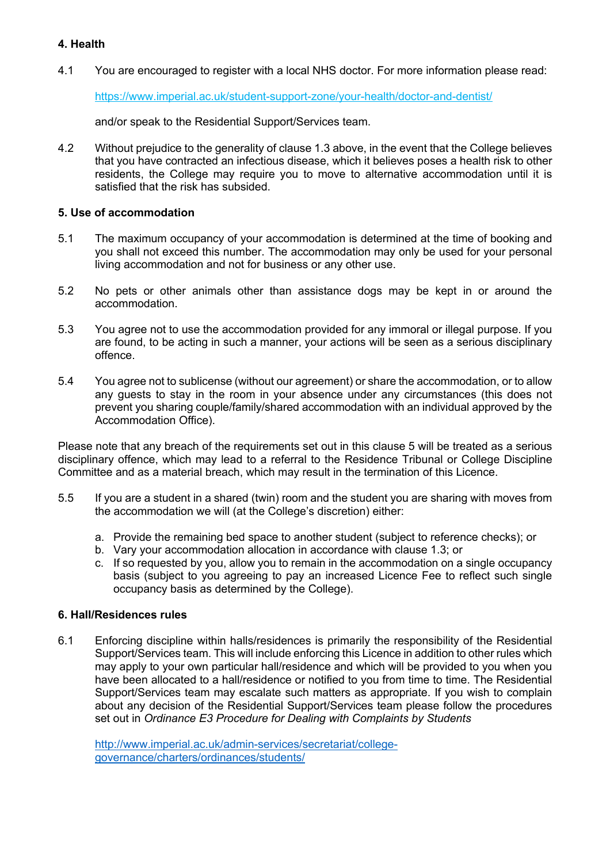#### **4. Health**

4.1 You are encouraged to register with a local NHS doctor. For more information please read:

https://www.imperial.ac.uk/student-support-zone/your-health/doctor-and-dentist/

and/or speak to the Residential Support/Services team.

4.2 Without prejudice to the generality of clause 1.3 above, in the event that the College believes that you have contracted an infectious disease, which it believes poses a health risk to other residents, the College may require you to move to alternative accommodation until it is satisfied that the risk has subsided.

## **5. Use of accommodation**

- 5.1 The maximum occupancy of your accommodation is determined at the time of booking and you shall not exceed this number. The accommodation may only be used for your personal living accommodation and not for business or any other use.
- 5.2 No pets or other animals other than assistance dogs may be kept in or around the accommodation.
- 5.3 You agree not to use the accommodation provided for any immoral or illegal purpose. If you are found, to be acting in such a manner, your actions will be seen as a serious disciplinary offence.
- 5.4 You agree not to sublicense (without our agreement) or share the accommodation, or to allow any guests to stay in the room in your absence under any circumstances (this does not prevent you sharing couple/family/shared accommodation with an individual approved by the Accommodation Office).

Please note that any breach of the requirements set out in this clause 5 will be treated as a serious disciplinary offence, which may lead to a referral to the Residence Tribunal or College Discipline Committee and as a material breach, which may result in the termination of this Licence.

- 5.5 If you are a student in a shared (twin) room and the student you are sharing with moves from the accommodation we will (at the College's discretion) either:
	- a. Provide the remaining bed space to another student (subject to reference checks); or
	- b. Vary your accommodation allocation in accordance with clause 1.3; or
	- c. If so requested by you, allow you to remain in the accommodation on a single occupancy basis (subject to you agreeing to pay an increased Licence Fee to reflect such single occupancy basis as determined by the College).

#### **6. Hall/Residences rules**

6.1 Enforcing discipline within halls/residences is primarily the responsibility of the Residential Support/Services team. This will include enforcing this Licence in addition to other rules which may apply to your own particular hall/residence and which will be provided to you when you have been allocated to a hall/residence or notified to you from time to time. The Residential Support/Services team may escalate such matters as appropriate. If you wish to complain about any decision of the Residential Support/Services team please follow the procedures set out in *Ordinance E3 Procedure for Dealing with Complaints by Students*

http://www.imperial.ac.uk/admin-services/secretariat/collegegovernance/charters/ordinances/students/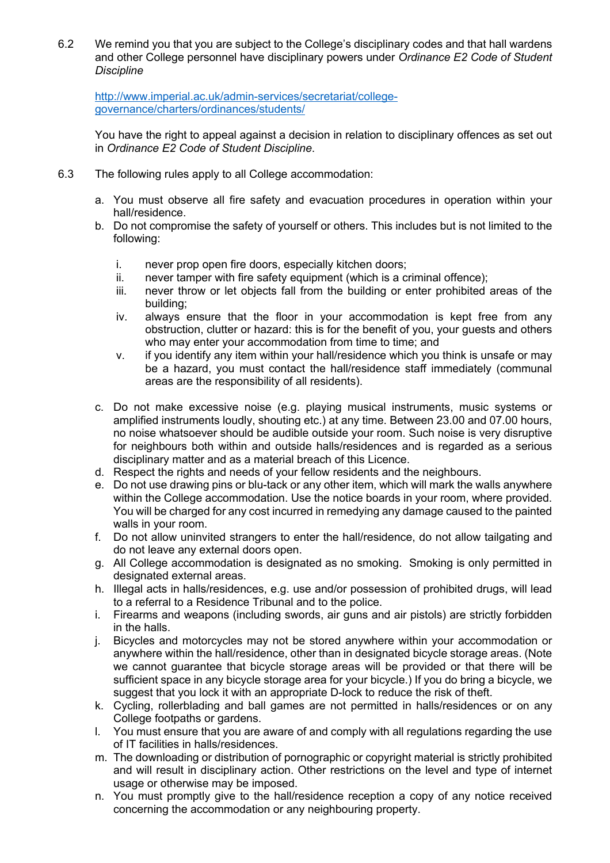6.2 We remind you that you are subject to the College's disciplinary codes and that hall wardens and other College personnel have disciplinary powers under *Ordinance E2 Code of Student Discipline*

http://www.imperial.ac.uk/admin-services/secretariat/collegegovernance/charters/ordinances/students/

You have the right to appeal against a decision in relation to disciplinary offences as set out in *Ordinance E2 Code of Student Discipline*.

- 6.3 The following rules apply to all College accommodation:
	- a. You must observe all fire safety and evacuation procedures in operation within your hall/residence.
	- b. Do not compromise the safety of yourself or others. This includes but is not limited to the following:
		- i. never prop open fire doors, especially kitchen doors;
		- ii. never tamper with fire safety equipment (which is a criminal offence);
		- iii. never throw or let objects fall from the building or enter prohibited areas of the building;
		- iv. always ensure that the floor in your accommodation is kept free from any obstruction, clutter or hazard: this is for the benefit of you, your guests and others who may enter your accommodation from time to time; and
		- v. if you identify any item within your hall/residence which you think is unsafe or may be a hazard, you must contact the hall/residence staff immediately (communal areas are the responsibility of all residents).
	- c. Do not make excessive noise (e.g. playing musical instruments, music systems or amplified instruments loudly, shouting etc.) at any time. Between 23.00 and 07.00 hours, no noise whatsoever should be audible outside your room. Such noise is very disruptive for neighbours both within and outside halls/residences and is regarded as a serious disciplinary matter and as a material breach of this Licence.
	- d. Respect the rights and needs of your fellow residents and the neighbours.
	- e. Do not use drawing pins or blu-tack or any other item, which will mark the walls anywhere within the College accommodation. Use the notice boards in your room, where provided. You will be charged for any cost incurred in remedying any damage caused to the painted walls in your room.
	- f. Do not allow uninvited strangers to enter the hall/residence, do not allow tailgating and do not leave any external doors open.
	- g. All College accommodation is designated as no smoking. Smoking is only permitted in designated external areas.
	- h. Illegal acts in halls/residences, e.g. use and/or possession of prohibited drugs, will lead to a referral to a Residence Tribunal and to the police.
	- i. Firearms and weapons (including swords, air guns and air pistols) are strictly forbidden in the halls.
	- j. Bicycles and motorcycles may not be stored anywhere within your accommodation or anywhere within the hall/residence, other than in designated bicycle storage areas. (Note we cannot guarantee that bicycle storage areas will be provided or that there will be sufficient space in any bicycle storage area for your bicycle.) If you do bring a bicycle, we suggest that you lock it with an appropriate D-lock to reduce the risk of theft.
	- k. Cycling, rollerblading and ball games are not permitted in halls/residences or on any College footpaths or gardens.
	- l. You must ensure that you are aware of and comply with all regulations regarding the use of IT facilities in halls/residences.
	- m. The downloading or distribution of pornographic or copyright material is strictly prohibited and will result in disciplinary action. Other restrictions on the level and type of internet usage or otherwise may be imposed.
	- n. You must promptly give to the hall/residence reception a copy of any notice received concerning the accommodation or any neighbouring property.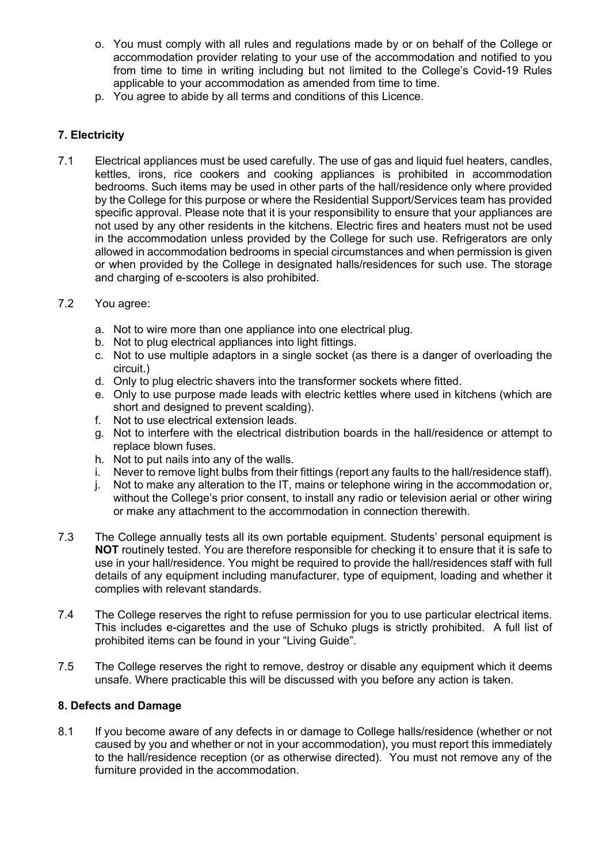- o. You must comply with all rules and regulations made by or on behalf of the College or accommodation provider relating to your use of the accommodation and notified to you from time to time in writing including but not limited to the College's Covid-19 Rules applicable to your accommodation as amended from time to time.
- p. You agree to abide by all terms and conditions of this Licence.

## **7. Electricity**

- 7.1 Electrical appliances must be used carefully. The use of gas and liquid fuel heaters, candles, kettles, irons, rice cookers and cooking appliances is prohibited in accommodation bedrooms. Such items may be used in other parts of the hall/residence only where provided by the College for this purpose or where the Residential Support/Services team has provided specific approval. Please note that it is your responsibility to ensure that your appliances are not used by any other residents in the kitchens. Electric fires and heaters must not be used in the accommodation unless provided by the College for such use. Refrigerators are only allowed in accommodation bedrooms in special circumstances and when permission is given or when provided by the College in designated halls/residences for such use. The storage and charging of e-scooters is also prohibited.
- 7.2 You agree:
	- a. Not to wire more than one appliance into one electrical plug.
	- b. Not to plug electrical appliances into light fittings.
	- c. Not to use multiple adaptors in a single socket (as there is a danger of overloading the circuit.)
	- d. Only to plug electric shavers into the transformer sockets where fitted.
	- e. Only to use purpose made leads with electric kettles where used in kitchens (which are short and designed to prevent scalding).
	- f. Not to use electrical extension leads.
	- g. Not to interfere with the electrical distribution boards in the hall/residence or attempt to replace blown fuses.
	- h. Not to put nails into any of the walls.
	- i. Never to remove light bulbs from their fittings (report any faults to the hall/residence staff).
	- j. Not to make any alteration to the IT, mains or telephone wiring in the accommodation or, without the College's prior consent, to install any radio or television aerial or other wiring or make any attachment to the accommodation in connection therewith.
- 7.3 The College annually tests all its own portable equipment. Students' personal equipment is **NOT** routinely tested. You are therefore responsible for checking it to ensure that it is safe to use in your hall/residence. You might be required to provide the hall/residences staff with full details of any equipment including manufacturer, type of equipment, loading and whether it complies with relevant standards.
- 7.4 The College reserves the right to refuse permission for you to use particular electrical items. This includes e-cigarettes and the use of Schuko plugs is strictly prohibited. A full list of prohibited items can be found in your "Living Guide".
- 7.5 The College reserves the right to remove, destroy or disable any equipment which it deems unsafe. Where practicable this will be discussed with you before any action is taken.

## **8. Defects and Damage**

8.1 If you become aware of any defects in or damage to College halls/residence (whether or not caused by you and whether or not in your accommodation), you must report this immediately to the hall/residence reception (or as otherwise directed). You must not remove any of the furniture provided in the accommodation.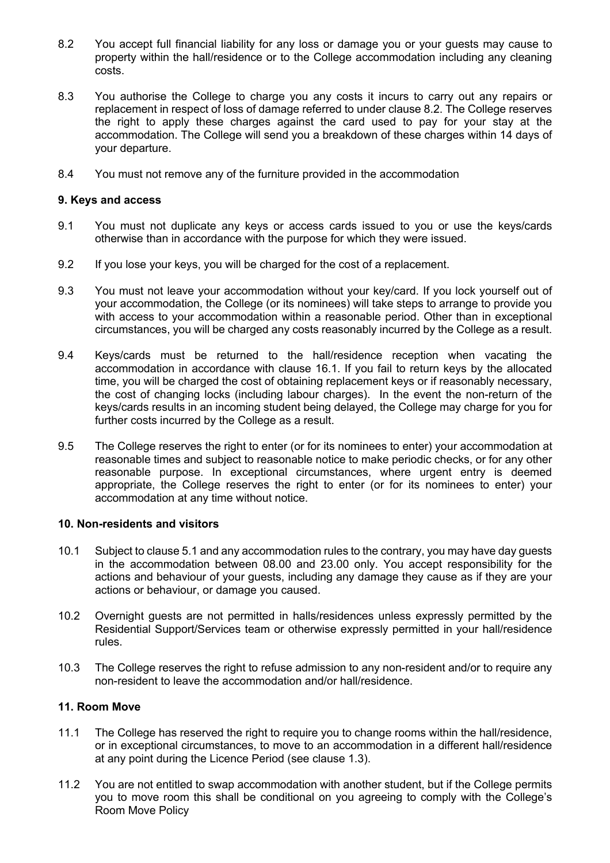- 8.2 You accept full financial liability for any loss or damage you or your guests may cause to property within the hall/residence or to the College accommodation including any cleaning costs.
- 8.3 You authorise the College to charge you any costs it incurs to carry out any repairs or replacement in respect of loss of damage referred to under clause 8.2. The College reserves the right to apply these charges against the card used to pay for your stay at the accommodation. The College will send you a breakdown of these charges within 14 days of your departure.
- 8.4 You must not remove any of the furniture provided in the accommodation

#### **9. Keys and access**

- 9.1 You must not duplicate any keys or access cards issued to you or use the keys/cards otherwise than in accordance with the purpose for which they were issued.
- 9.2 If you lose your keys, you will be charged for the cost of a replacement.
- 9.3 You must not leave your accommodation without your key/card. If you lock yourself out of your accommodation, the College (or its nominees) will take steps to arrange to provide you with access to your accommodation within a reasonable period. Other than in exceptional circumstances, you will be charged any costs reasonably incurred by the College as a result.
- 9.4 Keys/cards must be returned to the hall/residence reception when vacating the accommodation in accordance with clause 16.1. If you fail to return keys by the allocated time, you will be charged the cost of obtaining replacement keys or if reasonably necessary, the cost of changing locks (including labour charges). In the event the non-return of the keys/cards results in an incoming student being delayed, the College may charge for you for further costs incurred by the College as a result.
- 9.5 The College reserves the right to enter (or for its nominees to enter) your accommodation at reasonable times and subject to reasonable notice to make periodic checks, or for any other reasonable purpose. In exceptional circumstances, where urgent entry is deemed appropriate, the College reserves the right to enter (or for its nominees to enter) your accommodation at any time without notice.

#### **10. Non-residents and visitors**

- 10.1 Subject to clause 5.1 and any accommodation rules to the contrary, you may have day guests in the accommodation between 08.00 and 23.00 only. You accept responsibility for the actions and behaviour of your guests, including any damage they cause as if they are your actions or behaviour, or damage you caused.
- 10.2 Overnight guests are not permitted in halls/residences unless expressly permitted by the Residential Support/Services team or otherwise expressly permitted in your hall/residence rules.
- 10.3 The College reserves the right to refuse admission to any non-resident and/or to require any non-resident to leave the accommodation and/or hall/residence.

#### **11. Room Move**

- 11.1 The College has reserved the right to require you to change rooms within the hall/residence, or in exceptional circumstances, to move to an accommodation in a different hall/residence at any point during the Licence Period (see clause 1.3).
- 11.2 You are not entitled to swap accommodation with another student, but if the College permits you to move room this shall be conditional on you agreeing to comply with the College's Room Move Policy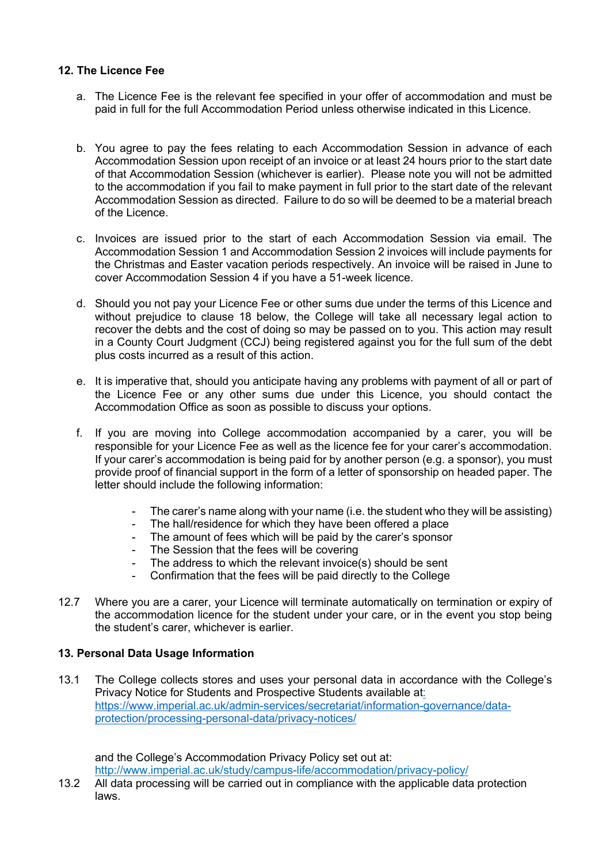### **12. The Licence Fee**

- a. The Licence Fee is the relevant fee specified in your offer of accommodation and must be paid in full for the full Accommodation Period unless otherwise indicated in this Licence.
- b. You agree to pay the fees relating to each Accommodation Session in advance of each Accommodation Session upon receipt of an invoice or at least 24 hours prior to the start date of that Accommodation Session (whichever is earlier). Please note you will not be admitted to the accommodation if you fail to make payment in full prior to the start date of the relevant Accommodation Session as directed. Failure to do so will be deemed to be a material breach of the Licence.
- c. Invoices are issued prior to the start of each Accommodation Session via email. The Accommodation Session 1 and Accommodation Session 2 invoices will include payments for the Christmas and Easter vacation periods respectively. An invoice will be raised in June to cover Accommodation Session 4 if you have a 51-week licence.
- d. Should you not pay your Licence Fee or other sums due under the terms of this Licence and without prejudice to clause 18 below, the College will take all necessary legal action to recover the debts and the cost of doing so may be passed on to you. This action may result in a County Court Judgment (CCJ) being registered against you for the full sum of the debt plus costs incurred as a result of this action.
- e. It is imperative that, should you anticipate having any problems with payment of all or part of the Licence Fee or any other sums due under this Licence, you should contact the Accommodation Office as soon as possible to discuss your options.
- f. If you are moving into College accommodation accompanied by a carer, you will be responsible for your Licence Fee as well as the licence fee for your carer's accommodation. If your carer's accommodation is being paid for by another person (e.g. a sponsor), you must provide proof of financial support in the form of a letter of sponsorship on headed paper. The letter should include the following information:
	- The carer's name along with your name (i.e. the student who they will be assisting)
	- The hall/residence for which they have been offered a place
	- The amount of fees which will be paid by the carer's sponsor
	- The Session that the fees will be covering
	- The address to which the relevant invoice(s) should be sent
	- Confirmation that the fees will be paid directly to the College
- 12.7 Where you are a carer, your Licence will terminate automatically on termination or expiry of the accommodation licence for the student under your care, or in the event you stop being the student's carer, whichever is earlier.

## **13. Personal Data Usage Information**

13.1 The College collects stores and uses your personal data in accordance with the College's Privacy Notice for Students and Prospective Students available at: https://www.imperial.ac.uk/admin-services/secretariat/information-governance/dataprotection/processing-personal-data/privacy-notices/

and the College's Accommodation Privacy Policy set out at: http://www.imperial.ac.uk/study/campus-life/accommodation/privacy-policy/

13.2 All data processing will be carried out in compliance with the applicable data protection laws.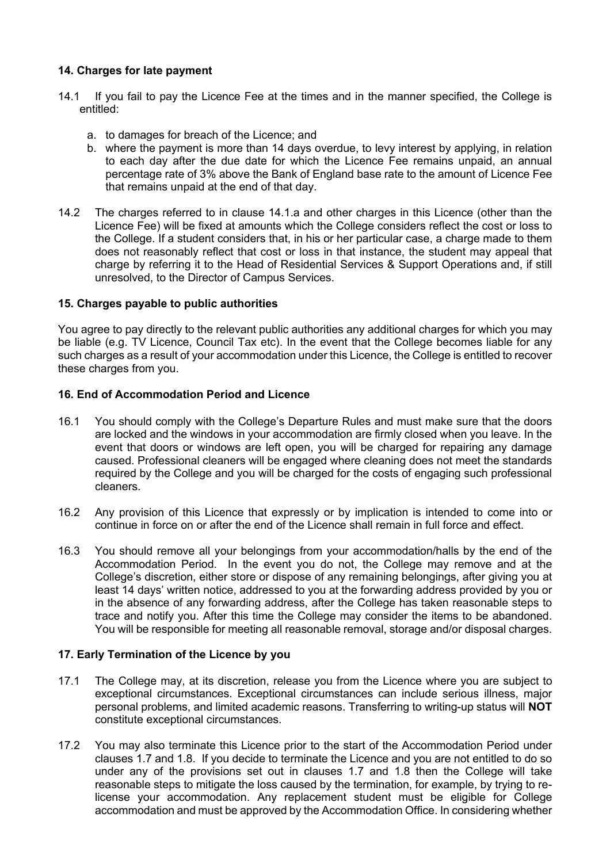## **14. Charges for late payment**

- 14.1 If you fail to pay the Licence Fee at the times and in the manner specified, the College is entitled:
	- a. to damages for breach of the Licence; and
	- b. where the payment is more than 14 days overdue, to levy interest by applying, in relation to each day after the due date for which the Licence Fee remains unpaid, an annual percentage rate of 3% above the Bank of England base rate to the amount of Licence Fee that remains unpaid at the end of that day.
- 14.2 The charges referred to in clause 14.1.a and other charges in this Licence (other than the Licence Fee) will be fixed at amounts which the College considers reflect the cost or loss to the College. If a student considers that, in his or her particular case, a charge made to them does not reasonably reflect that cost or loss in that instance, the student may appeal that charge by referring it to the Head of Residential Services & Support Operations and, if still unresolved, to the Director of Campus Services.

## **15. Charges payable to public authorities**

You agree to pay directly to the relevant public authorities any additional charges for which you may be liable (e.g. TV Licence, Council Tax etc). In the event that the College becomes liable for any such charges as a result of your accommodation under this Licence, the College is entitled to recover these charges from you.

#### **16. End of Accommodation Period and Licence**

- 16.1 You should comply with the College's Departure Rules and must make sure that the doors are locked and the windows in your accommodation are firmly closed when you leave. In the event that doors or windows are left open, you will be charged for repairing any damage caused. Professional cleaners will be engaged where cleaning does not meet the standards required by the College and you will be charged for the costs of engaging such professional cleaners.
- 16.2 Any provision of this Licence that expressly or by implication is intended to come into or continue in force on or after the end of the Licence shall remain in full force and effect.
- 16.3 You should remove all your belongings from your accommodation/halls by the end of the Accommodation Period. In the event you do not, the College may remove and at the College's discretion, either store or dispose of any remaining belongings, after giving you at least 14 days' written notice, addressed to you at the forwarding address provided by you or in the absence of any forwarding address, after the College has taken reasonable steps to trace and notify you. After this time the College may consider the items to be abandoned. You will be responsible for meeting all reasonable removal, storage and/or disposal charges.

#### **17. Early Termination of the Licence by you**

- 17.1 The College may, at its discretion, release you from the Licence where you are subject to exceptional circumstances. Exceptional circumstances can include serious illness, major personal problems, and limited academic reasons. Transferring to writing-up status will **NOT**  constitute exceptional circumstances.
- 17.2 You may also terminate this Licence prior to the start of the Accommodation Period under clauses 1.7 and 1.8. If you decide to terminate the Licence and you are not entitled to do so under any of the provisions set out in clauses 1.7 and 1.8 then the College will take reasonable steps to mitigate the loss caused by the termination, for example, by trying to relicense your accommodation. Any replacement student must be eligible for College accommodation and must be approved by the Accommodation Office. In considering whether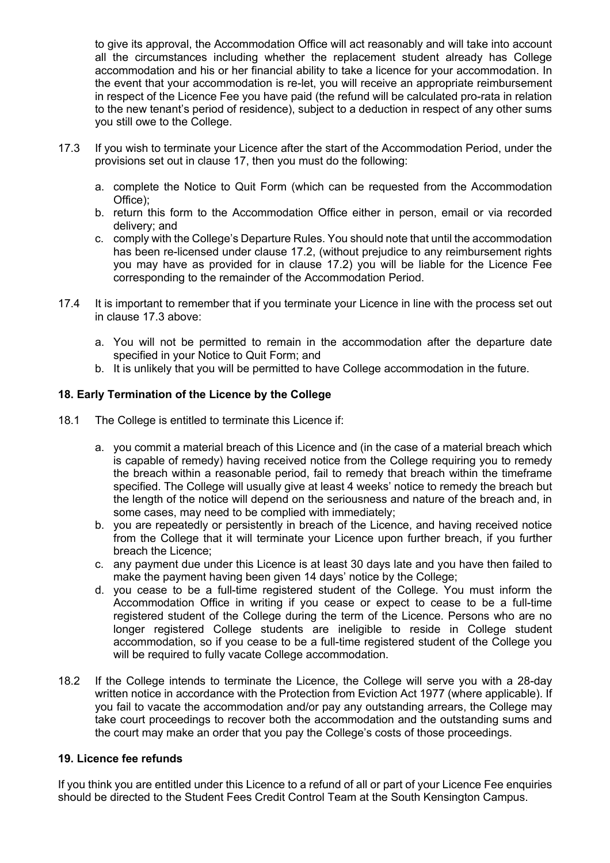to give its approval, the Accommodation Office will act reasonably and will take into account all the circumstances including whether the replacement student already has College accommodation and his or her financial ability to take a licence for your accommodation. In the event that your accommodation is re-let, you will receive an appropriate reimbursement in respect of the Licence Fee you have paid (the refund will be calculated pro-rata in relation to the new tenant's period of residence), subject to a deduction in respect of any other sums you still owe to the College.

- 17.3 If you wish to terminate your Licence after the start of the Accommodation Period, under the provisions set out in clause 17, then you must do the following:
	- a. complete the Notice to Quit Form (which can be requested from the Accommodation Office);
	- b. return this form to the Accommodation Office either in person, email or via recorded delivery; and
	- c. comply with the College's Departure Rules. You should note that until the accommodation has been re-licensed under clause 17.2, (without prejudice to any reimbursement rights you may have as provided for in clause 17.2) you will be liable for the Licence Fee corresponding to the remainder of the Accommodation Period.
- 17.4 It is important to remember that if you terminate your Licence in line with the process set out in clause 17.3 above:
	- a. You will not be permitted to remain in the accommodation after the departure date specified in your Notice to Quit Form; and
	- b. It is unlikely that you will be permitted to have College accommodation in the future.

#### **18. Early Termination of the Licence by the College**

- 18.1 The College is entitled to terminate this Licence if:
	- a. you commit a material breach of this Licence and (in the case of a material breach which is capable of remedy) having received notice from the College requiring you to remedy the breach within a reasonable period, fail to remedy that breach within the timeframe specified. The College will usually give at least 4 weeks' notice to remedy the breach but the length of the notice will depend on the seriousness and nature of the breach and, in some cases, may need to be complied with immediately;
	- b. you are repeatedly or persistently in breach of the Licence, and having received notice from the College that it will terminate your Licence upon further breach, if you further breach the Licence;
	- c. any payment due under this Licence is at least 30 days late and you have then failed to make the payment having been given 14 days' notice by the College;
	- d. you cease to be a full-time registered student of the College. You must inform the Accommodation Office in writing if you cease or expect to cease to be a full-time registered student of the College during the term of the Licence. Persons who are no longer registered College students are ineligible to reside in College student accommodation, so if you cease to be a full-time registered student of the College you will be required to fully vacate College accommodation.
- 18.2 If the College intends to terminate the Licence, the College will serve you with a 28-day written notice in accordance with the Protection from Eviction Act 1977 (where applicable). If you fail to vacate the accommodation and/or pay any outstanding arrears, the College may take court proceedings to recover both the accommodation and the outstanding sums and the court may make an order that you pay the College's costs of those proceedings.

#### **19. Licence fee refunds**

If you think you are entitled under this Licence to a refund of all or part of your Licence Fee enquiries should be directed to the Student Fees Credit Control Team at the South Kensington Campus.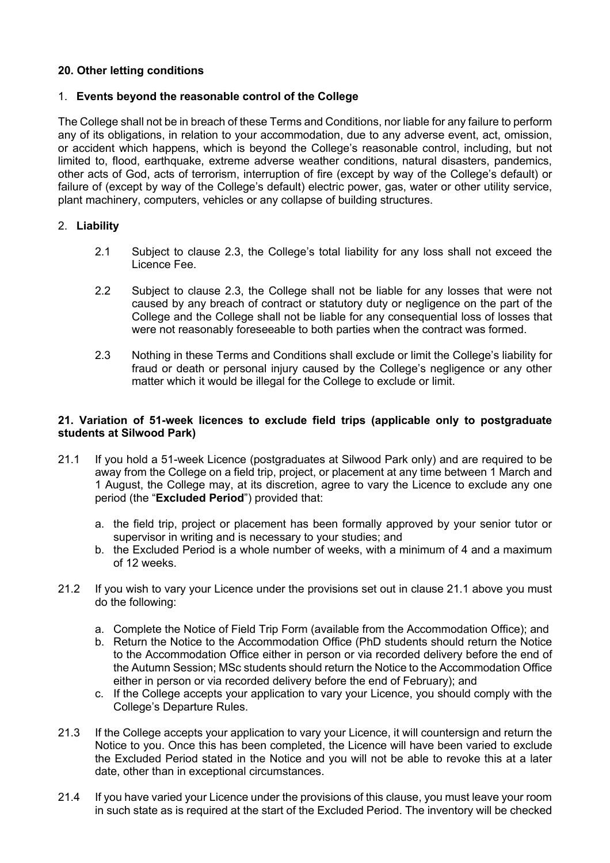## **20. Other letting conditions**

#### 1. **Events beyond the reasonable control of the College**

The College shall not be in breach of these Terms and Conditions, nor liable for any failure to perform any of its obligations, in relation to your accommodation, due to any adverse event, act, omission, or accident which happens, which is beyond the College's reasonable control, including, but not limited to, flood, earthquake, extreme adverse weather conditions, natural disasters, pandemics, other acts of God, acts of terrorism, interruption of fire (except by way of the College's default) or failure of (except by way of the College's default) electric power, gas, water or other utility service, plant machinery, computers, vehicles or any collapse of building structures.

## 2. **Liability**

- 2.1 Subject to clause 2.3, the College's total liability for any loss shall not exceed the Licence Fee.
- 2.2 Subject to clause 2.3, the College shall not be liable for any losses that were not caused by any breach of contract or statutory duty or negligence on the part of the College and the College shall not be liable for any consequential loss of losses that were not reasonably foreseeable to both parties when the contract was formed.
- 2.3 Nothing in these Terms and Conditions shall exclude or limit the College's liability for fraud or death or personal injury caused by the College's negligence or any other matter which it would be illegal for the College to exclude or limit.

#### **21. Variation of 51-week licences to exclude field trips (applicable only to postgraduate students at Silwood Park)**

- 21.1 If you hold a 51-week Licence (postgraduates at Silwood Park only) and are required to be away from the College on a field trip, project, or placement at any time between 1 March and 1 August, the College may, at its discretion, agree to vary the Licence to exclude any one period (the "**Excluded Period**") provided that:
	- a. the field trip, project or placement has been formally approved by your senior tutor or supervisor in writing and is necessary to your studies; and
	- b. the Excluded Period is a whole number of weeks, with a minimum of 4 and a maximum of 12 weeks.
- 21.2 If you wish to vary your Licence under the provisions set out in clause 21.1 above you must do the following:
	- a. Complete the Notice of Field Trip Form (available from the Accommodation Office); and
	- b. Return the Notice to the Accommodation Office (PhD students should return the Notice to the Accommodation Office either in person or via recorded delivery before the end of the Autumn Session; MSc students should return the Notice to the Accommodation Office either in person or via recorded delivery before the end of February); and
	- c. If the College accepts your application to vary your Licence, you should comply with the College's Departure Rules.
- 21.3 If the College accepts your application to vary your Licence, it will countersign and return the Notice to you. Once this has been completed, the Licence will have been varied to exclude the Excluded Period stated in the Notice and you will not be able to revoke this at a later date, other than in exceptional circumstances.
- 21.4 If you have varied your Licence under the provisions of this clause, you must leave your room in such state as is required at the start of the Excluded Period. The inventory will be checked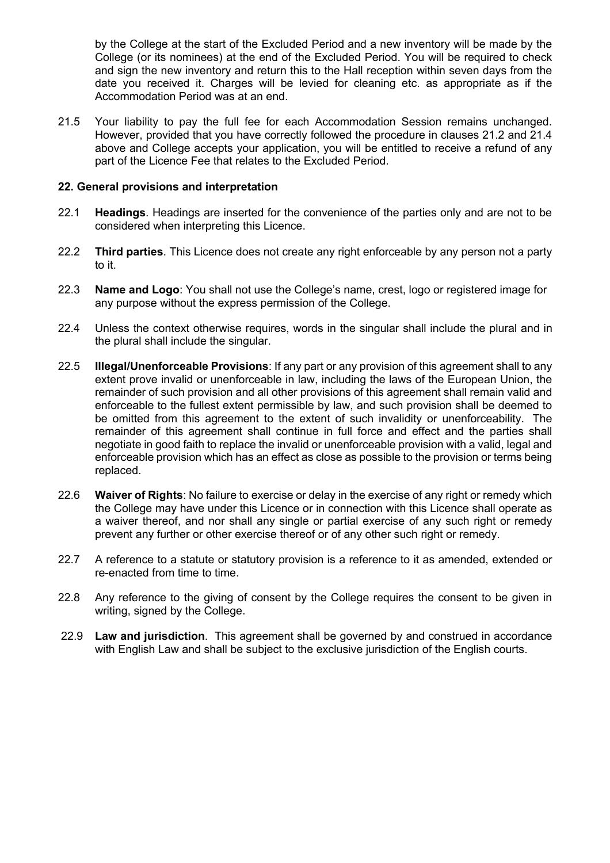by the College at the start of the Excluded Period and a new inventory will be made by the College (or its nominees) at the end of the Excluded Period. You will be required to check and sign the new inventory and return this to the Hall reception within seven days from the date you received it. Charges will be levied for cleaning etc. as appropriate as if the Accommodation Period was at an end.

21.5 Your liability to pay the full fee for each Accommodation Session remains unchanged. However, provided that you have correctly followed the procedure in clauses 21.2 and 21.4 above and College accepts your application, you will be entitled to receive a refund of any part of the Licence Fee that relates to the Excluded Period.

#### **22. General provisions and interpretation**

- 22.1 **Headings**. Headings are inserted for the convenience of the parties only and are not to be considered when interpreting this Licence.
- 22.2 **Third parties**. This Licence does not create any right enforceable by any person not a party to it.
- 22.3 **Name and Logo**: You shall not use the College's name, crest, logo or registered image for any purpose without the express permission of the College.
- 22.4 Unless the context otherwise requires, words in the singular shall include the plural and in the plural shall include the singular.
- 22.5 **Illegal/Unenforceable Provisions**: If any part or any provision of this agreement shall to any extent prove invalid or unenforceable in law, including the laws of the European Union, the remainder of such provision and all other provisions of this agreement shall remain valid and enforceable to the fullest extent permissible by law, and such provision shall be deemed to be omitted from this agreement to the extent of such invalidity or unenforceability. The remainder of this agreement shall continue in full force and effect and the parties shall negotiate in good faith to replace the invalid or unenforceable provision with a valid, legal and enforceable provision which has an effect as close as possible to the provision or terms being replaced.
- 22.6 **Waiver of Rights**: No failure to exercise or delay in the exercise of any right or remedy which the College may have under this Licence or in connection with this Licence shall operate as a waiver thereof, and nor shall any single or partial exercise of any such right or remedy prevent any further or other exercise thereof or of any other such right or remedy.
- 22.7 A reference to a statute or statutory provision is a reference to it as amended, extended or re-enacted from time to time.
- 22.8 Any reference to the giving of consent by the College requires the consent to be given in writing, signed by the College.
- 22.9 **Law and jurisdiction**. This agreement shall be governed by and construed in accordance with English Law and shall be subject to the exclusive jurisdiction of the English courts.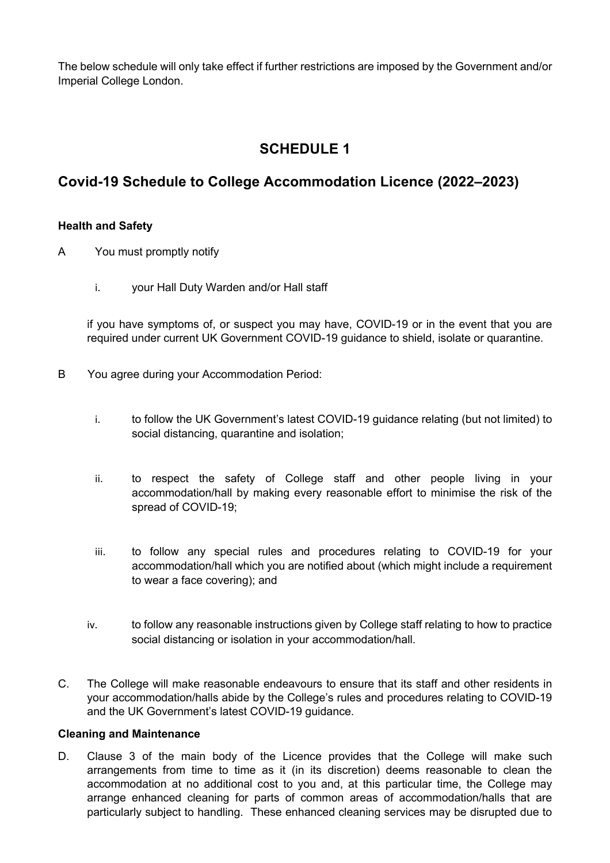The below schedule will only take effect if further restrictions are imposed by the Government and/or Imperial College London.

# **SCHEDULE 1**

## **Covid-19 Schedule to College Accommodation Licence (2022–2023)**

#### **Health and Safety**

- A You must promptly notify
	- i. your Hall Duty Warden and/or Hall staff

if you have symptoms of, or suspect you may have, COVID-19 or in the event that you are required under current UK Government COVID-19 guidance to shield, isolate or quarantine.

- B You agree during your Accommodation Period:
	- i. to follow the UK Government's latest COVID-19 guidance relating (but not limited) to social distancing, quarantine and isolation;
	- ii. to respect the safety of College staff and other people living in your accommodation/hall by making every reasonable effort to minimise the risk of the spread of COVID-19;
	- iii. to follow any special rules and procedures relating to COVID-19 for your accommodation/hall which you are notified about (which might include a requirement to wear a face covering); and
	- iv. to follow any reasonable instructions given by College staff relating to how to practice social distancing or isolation in your accommodation/hall.
- C. The College will make reasonable endeavours to ensure that its staff and other residents in your accommodation/halls abide by the College's rules and procedures relating to COVID-19 and the UK Government's latest COVID-19 guidance.

#### **Cleaning and Maintenance**

D. Clause 3 of the main body of the Licence provides that the College will make such arrangements from time to time as it (in its discretion) deems reasonable to clean the accommodation at no additional cost to you and, at this particular time, the College may arrange enhanced cleaning for parts of common areas of accommodation/halls that are particularly subject to handling. These enhanced cleaning services may be disrupted due to